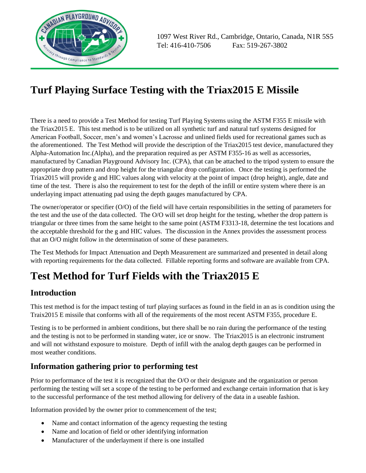

# **Turf Playing Surface Testing with the Triax2015 E Missile**

There is a need to provide a Test Method for testing Turf Playing Systems using the ASTM F355 E missile with the Triax2015 E. This test method is to be utilized on all synthetic turf and natural turf systems designed for American Football, Soccer, men's and women's Lacrosse and unlined fields used for recreational games such as the aforementioned. The Test Method will provide the description of the Triax2015 test device, manufactured they Alpha-Automation Inc.(Alpha), and the preparation required as per ASTM F355-16 as well as accessories, manufactured by Canadian Playground Advisory Inc. (CPA), that can be attached to the tripod system to ensure the appropriate drop pattern and drop height for the triangular drop configuration. Once the testing is performed the Triax2015 will provide g and HIC values along with velocity at the point of impact (drop height), angle, date and time of the test. There is also the requirement to test for the depth of the infill or entire system where there is an underlaying impact attenuating pad using the depth gauges manufactured by CPA.

The owner/operator or specifier (O/O) of the field will have certain responsibilities in the setting of parameters for the test and the use of the data collected. The O/O will set drop height for the testing, whether the drop pattern is triangular or three times from the same height to the same point (ASTM F3313-18, determine the test locations and the acceptable threshold for the g and HIC values. The discussion in the Annex provides the assessment process that an O/O might follow in the determination of some of these parameters.

The Test Methods for Impact Attenuation and Depth Measurement are summarized and presented in detail along with reporting requirements for the data collected. Fillable reporting forms and software are available from CPA.

# **Test Method for Turf Fields with the Triax2015 E**

### **Introduction**

This test method is for the impact testing of turf playing surfaces as found in the field in an as is condition using the Traix2015 E missile that conforms with all of the requirements of the most recent ASTM F355, procedure E.

Testing is to be performed in ambient conditions, but there shall be no rain during the performance of the testing and the testing is not to be performed in standing water, ice or snow. The Triax2015 is an electronic instrument and will not withstand exposure to moisture. Depth of infill with the analog depth gauges can be performed in most weather conditions.

### **Information gathering prior to performing test**

Prior to performance of the test it is recognized that the O/O or their designate and the organization or person performing the testing will set a scope of the testing to be performed and exchange certain information that is key to the successful performance of the test method allowing for delivery of the data in a useable fashion.

Information provided by the owner prior to commencement of the test;

- Name and contact information of the agency requesting the testing
- Name and location of field or other identifying information
- Manufacturer of the underlayment if there is one installed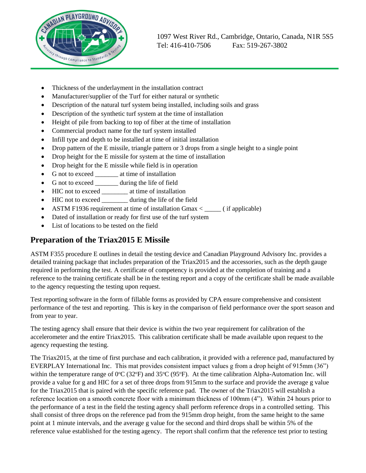

- Thickness of the underlayment in the installation contract
- Manufacturer/supplier of the Turf for either natural or synthetic
- Description of the natural turf system being installed, including soils and grass
- Description of the synthetic turf system at the time of installation
- Height of pile from backing to top of fiber at the time of installation
- Commercial product name for the turf system installed
- Infill type and depth to be installed at time of initial installation
- Drop pattern of the E missile, triangle pattern or 3 drops from a single height to a single point
- Drop height for the E missile for system at the time of installation
- Drop height for the E missile while field is in operation
- G not to exceed \_\_\_\_\_\_\_\_\_ at time of installation
- G not to exceed \_\_\_\_\_\_\_\_ during the life of field
- HIC not to exceed \_\_\_\_\_\_\_\_ at time of installation
- HIC not to exceed during the life of the field
- ASTM F1936 requirement at time of installation Gmax < \_\_\_\_\_ ( if applicable)
- Dated of installation or ready for first use of the turf system
- List of locations to be tested on the field

#### **Preparation of the Triax2015 E Missile**

ASTM F355 procedure E outlines in detail the testing device and Canadian Playground Advisory Inc. provides a detailed training package that includes preparation of the Triax2015 and the accessories, such as the depth gauge required in performing the test. A certificate of competency is provided at the completion of training and a reference to the training certificate shall be in the testing report and a copy of the certificate shall be made available to the agency requesting the testing upon request.

Test reporting software in the form of fillable forms as provided by CPA ensure comprehensive and consistent performance of the test and reporting. This is key in the comparison of field performance over the sport season and from year to year.

The testing agency shall ensure that their device is within the two year requirement for calibration of the accelerometer and the entire Triax2015. This calibration certificate shall be made available upon request to the agency requesting the testing.

The Triax2015, at the time of first purchase and each calibration, it provided with a reference pad, manufactured by EVERPLAY International Inc. This mat provides consistent impact values g from a drop height of 915mm (36") within the temperature range of  $0^{\circ}C$  (32 $^{\circ}F$ ) and 35 $^{\circ}C$  (95 $^{\circ}F$ ). At the time calibration Alpha-Automation Inc. will provide a value for g and HIC for a set of three drops from 915mm to the surface and provide the average g value for the Triax2015 that is paired with the specific reference pad. The owner of the Triax2015 will establish a reference location on a smooth concrete floor with a minimum thickness of 100mm (4"). Within 24 hours prior to the performance of a test in the field the testing agency shall perform reference drops in a controlled setting. This shall consist of three drops on the reference pad from the 915mm drop height, from the same height to the same point at 1 minute intervals, and the average g value for the second and third drops shall be within 5% of the reference value established for the testing agency. The report shall confirm that the reference test prior to testing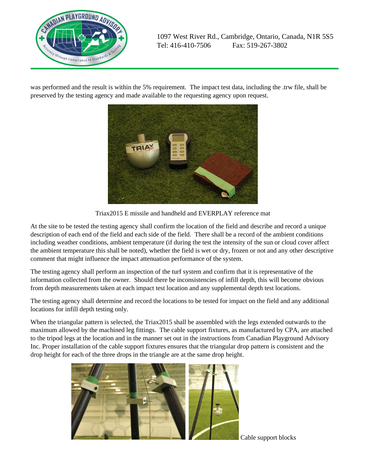

was performed and the result is within the 5% requirement. The impact test data, including the .trw file, shall be preserved by the testing agency and made available to the requesting agency upon request.



Triax2015 E missile and handheld and EVERPLAY reference mat

At the site to be tested the testing agency shall confirm the location of the field and describe and record a unique description of each end of the field and each side of the field. There shall be a record of the ambient conditions including weather conditions, ambient temperature (if during the test the intensity of the sun or cloud cover affect the ambient temperature this shall be noted), whether the field is wet or dry, frozen or not and any other descriptive comment that might influence the impact attenuation performance of the system.

The testing agency shall perform an inspection of the turf system and confirm that it is representative of the information collected from the owner. Should there be inconsistencies of infill depth, this will become obvious from depth measurements taken at each impact test location and any supplemental depth test locations.

The testing agency shall determine and record the locations to be tested for impact on the field and any additional locations for infill depth testing only.

When the triangular pattern is selected, the Triax2015 shall be assembled with the legs extended outwards to the maximum allowed by the machined leg fittings. The cable support fixtures, as manufactured by CPA, are attached to the tripod legs at the location and in the manner set out in the instructions from Canadian Playground Advisory Inc. Proper installation of the cable support fixtures ensures that the triangular drop pattern is consistent and the drop height for each of the three drops in the triangle are at the same drop height.



Cable support blocks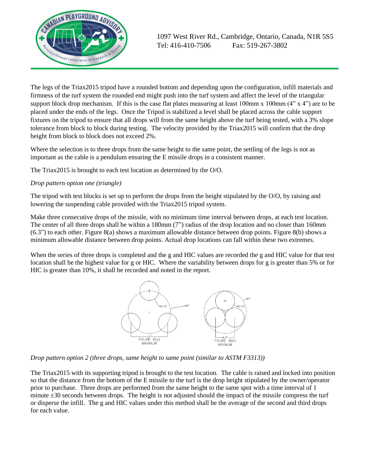

The legs of the Triax2015 tripod have a rounded bottom and depending upon the configuration, infill materials and firmness of the turf system the rounded end might push into the turf system and affect the level of the triangular support block drop mechanism. If this is the case flat plates measuring at least  $100$ mm x  $100$ mm  $(4"$  x  $4"$ ) are to be placed under the ends of the legs. Once the Tripod is stabilized a level shall be placed across the cable support fixtures on the tripod to ensure that all drops will from the same height above the turf being tested, with a 3% slope tolerance from block to block during testing. The velocity provided by the Triax2015 will confirm that the drop height from block to block does not exceed 2%.

Where the selection is to three drops from the same height to the same point, the settling of the legs is not as important as the cable is a pendulum ensuring the E missile drops in a consistent manner.

The Triax2015 is brought to each test location as determined by the O/O.

#### *Drop pattern option one (triangle)*

The tripod with test blocks is set up to perform the drops from the height stipulated by the O/O, by raising and lowering the suspending cable provided with the Triax2015 tripod system.

Make three consecutive drops of the missile, with no minimum time interval between drops, at each test location. The center of all three drops shall be within a 180mm (7") radius of the drop location and no closer than 160mm (6.3") to each other. Figure 8(a) shows a maximum allowable distance between drop points. Figure 8(b) shows a minimum allowable distance between drop points. Actual drop locations can fall within these two extremes.

When the series of three drops is completed and the g and HIC values are recorded the g and HIC value for that test location shall be the highest value for g or HIC. Where the variability between drops for g is greater than 5% or for HIC is greater than 10%, it shall be recorded and noted in the report.



*Drop pattern option 2 (three drops, same height to same point (similar to ASTM F3313))*

The Triax2015 with its supporting tripod is brought to the test location. The cable is raised and locked into position so that the distance from the bottom of the E missile to the turf is the drop height stipulated by the owner/operator prior to purchase. Three drops are performed from the same height to the same spot with a time interval of 1 minute  $\pm 30$  seconds between drops. The height is not adjusted should the impact of the missile compress the turf or disperse the infill. The g and HIC values under this method shall be the average of the second and third drops for each value.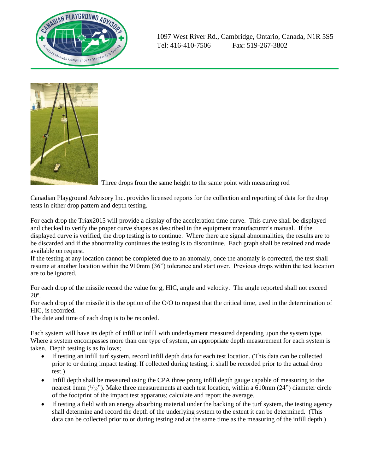



Three drops from the same height to the same point with measuring rod

Canadian Playground Advisory Inc. provides licensed reports for the collection and reporting of data for the drop tests in either drop pattern and depth testing.

For each drop the Triax2015 will provide a display of the acceleration time curve. This curve shall be displayed and checked to verify the proper curve shapes as described in the equipment manufacturer's manual. If the displayed curve is verified, the drop testing is to continue. Where there are signal abnormalities, the results are to be discarded and if the abnormality continues the testing is to discontinue. Each graph shall be retained and made available on request.

If the testing at any location cannot be completed due to an anomaly, once the anomaly is corrected, the test shall resume at another location within the 910mm (36") tolerance and start over. Previous drops within the test location are to be ignored.

For each drop of the missile record the value for g, HIC, angle and velocity. The angle reported shall not exceed  $20^\circ$ .

For each drop of the missile it is the option of the O/O to request that the critical time, used in the determination of HIC, is recorded.

The date and time of each drop is to be recorded.

Each system will have its depth of infill or infill with underlayment measured depending upon the system type. Where a system encompasses more than one type of system, an appropriate depth measurement for each system is taken. Depth testing is as follows;

- If testing an infill turf system, record infill depth data for each test location. (This data can be collected prior to or during impact testing. If collected during testing, it shall be recorded prior to the actual drop test.)
- Infill depth shall be measured using the CPA three prong infill depth gauge capable of measuring to the nearest 1mm  $(\frac{1}{32})$ . Make three measurements at each test location, within a 610mm (24") diameter circle of the footprint of the impact test apparatus; calculate and report the average.
- If testing a field with an energy absorbing material under the backing of the turf system, the testing agency shall determine and record the depth of the underlying system to the extent it can be determined. (This data can be collected prior to or during testing and at the same time as the measuring of the infill depth.)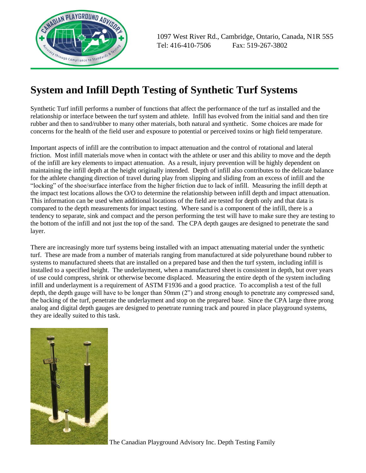

## **System and Infill Depth Testing of Synthetic Turf Systems**

Synthetic Turf infill performs a number of functions that affect the performance of the turf as installed and the relationship or interface between the turf system and athlete. Infill has evolved from the initial sand and then tire rubber and then to sand/rubber to many other materials, both natural and synthetic. Some choices are made for concerns for the health of the field user and exposure to potential or perceived toxins or high field temperature.

Important aspects of infill are the contribution to impact attenuation and the control of rotational and lateral friction. Most infill materials move when in contact with the athlete or user and this ability to move and the depth of the infill are key elements to impact attenuation. As a result, injury prevention will be highly dependent on maintaining the infill depth at the height originally intended. Depth of infill also contributes to the delicate balance for the athlete changing direction of travel during play from slipping and sliding from an excess of infill and the "locking" of the shoe/surface interface from the higher friction due to lack of infill. Measuring the infill depth at the impact test locations allows the O/O to determine the relationship between infill depth and impact attenuation. This information can be used when additional locations of the field are tested for depth only and that data is compared to the depth measurements for impact testing. Where sand is a component of the infill, there is a tendency to separate, sink and compact and the person performing the test will have to make sure they are testing to the bottom of the infill and not just the top of the sand. The CPA depth gauges are designed to penetrate the sand layer.

There are increasingly more turf systems being installed with an impact attenuating material under the synthetic turf. These are made from a number of materials ranging from manufactured at side polyurethane bound rubber to systems to manufactured sheets that are installed on a prepared base and then the turf system, including infill is installed to a specified height. The underlayment, when a manufactured sheet is consistent in depth, but over years of use could compress, shrink or otherwise become displaced. Measuring the entire depth of the system including infill and underlayment is a requirement of ASTM F1936 and a good practice. To accomplish a test of the full depth, the depth gauge will have to be longer than 50mm (2") and strong enough to penetrate any compressed sand, the backing of the turf, penetrate the underlayment and stop on the prepared base. Since the CPA large three prong analog and digital depth gauges are designed to penetrate running track and poured in place playground systems, they are ideally suited to this task.



The Canadian Playground Advisory Inc. Depth Testing Family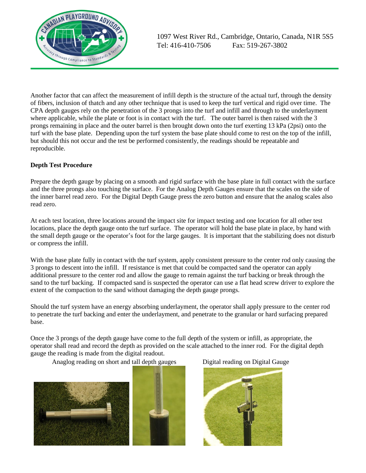

Another factor that can affect the measurement of infill depth is the structure of the actual turf, through the density of fibers, inclusion of thatch and any other technique that is used to keep the turf vertical and rigid over time. The CPA depth gauges rely on the penetration of the 3 prongs into the turf and infill and through to the underlayment where applicable, while the plate or foot is in contact with the turf. The outer barrel is then raised with the 3 prongs remaining in place and the outer barrel is then brought down onto the turf exerting 13 kPa (2psi) onto the turf with the base plate. Depending upon the turf system the base plate should come to rest on the top of the infill, but should this not occur and the test be performed consistently, the readings should be repeatable and reproducible.

#### **Depth Test Procedure**

Prepare the depth gauge by placing on a smooth and rigid surface with the base plate in full contact with the surface and the three prongs also touching the surface. For the Analog Depth Gauges ensure that the scales on the side of the inner barrel read zero. For the Digital Depth Gauge press the zero button and ensure that the analog scales also read zero.

At each test location, three locations around the impact site for impact testing and one location for all other test locations, place the depth gauge onto the turf surface. The operator will hold the base plate in place, by hand with the small depth gauge or the operator's foot for the large gauges. It is important that the stabilizing does not disturb or compress the infill.

With the base plate fully in contact with the turf system, apply consistent pressure to the center rod only causing the 3 prongs to descent into the infill. If resistance is met that could be compacted sand the operator can apply additional pressure to the center rod and allow the gauge to remain against the turf backing or break through the sand to the turf backing. If compacted sand is suspected the operator can use a flat head screw driver to explore the extent of the compaction to the sand without damaging the depth gauge prongs.

Should the turf system have an energy absorbing underlayment, the operator shall apply pressure to the center rod to penetrate the turf backing and enter the underlayment, and penetrate to the granular or hard surfacing prepared base.

Once the 3 prongs of the depth gauge have come to the full depth of the system or infill, as appropriate, the operator shall read and record the depth as provided on the scale attached to the inner rod. For the digital depth gauge the reading is made from the digital readout.

Anaglog reading on short and tall depth gauges Digital reading on Digital Gauge





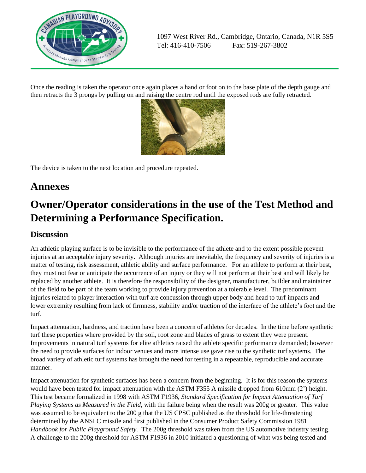

Once the reading is taken the operator once again places a hand or foot on to the base plate of the depth gauge and then retracts the 3 prongs by pulling on and raising the centre rod until the exposed rods are fully retracted.



The device is taken to the next location and procedure repeated.

## **Annexes**

# **Owner/Operator considerations in the use of the Test Method and Determining a Performance Specification.**

#### **Discussion**

An athletic playing surface is to be invisible to the performance of the athlete and to the extent possible prevent injuries at an acceptable injury severity. Although injuries are inevitable, the frequency and severity of injuries is a matter of testing, risk assessment, athletic ability and surface performance. For an athlete to perform at their best, they must not fear or anticipate the occurrence of an injury or they will not perform at their best and will likely be replaced by another athlete. It is therefore the responsibility of the designer, manufacturer, builder and maintainer of the field to be part of the team working to provide injury prevention at a tolerable level. The predominant injuries related to player interaction with turf are concussion through upper body and head to turf impacts and lower extremity resulting from lack of firmness, stability and/or traction of the interface of the athlete's foot and the turf.

Impact attenuation, hardness, and traction have been a concern of athletes for decades. In the time before synthetic turf these properties where provided by the soil, root zone and blades of grass to extent they were present. Improvements in natural turf systems for elite athletics raised the athlete specific performance demanded; however the need to provide surfaces for indoor venues and more intense use gave rise to the synthetic turf systems. The broad variety of athletic turf systems has brought the need for testing in a repeatable, reproducible and accurate manner.

Impact attenuation for synthetic surfaces has been a concern from the beginning. It is for this reason the systems would have been tested for impact attenuation with the ASTM F355 A missile dropped from 610mm (2') height. This test became formalized in 1998 with ASTM F1936, *Standard Specification for Impact Attenuation of Turf Playing Systems as Measured in the Field*, with the failure being when the result was 200g or greater. This value was assumed to be equivalent to the 200 g that the US CPSC published as the threshold for life-threatening determined by the ANSI C missile and first published in the Consumer Product Safety Commission 1981 *Handbook for Public Playground Safety.* The 200g threshold was taken from the US automotive industry testing. A challenge to the 200g threshold for ASTM F1936 in 2010 initiated a questioning of what was being tested and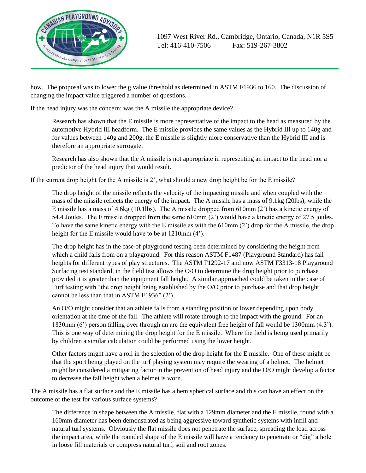

how. The proposal was to lower the g value threshold as determined in ASTM F1936 to 160. The discussion of changing the impact value triggered a number of questions.

If the head injury was the concern; was the A missile the appropriate device?

Research has shown that the E missile is more representative of the impact to the head as measured by the automotive Hybrid III headform. The E missile provides the same values as the Hybrid III up to 140g and for values between 140g and 200g, the E missile is slightly more conservative than the Hybrid III and is therefore an appropriate surrogate.

Research has also shown that the A missile is not appropriate in representing an impact to the head nor a predictor of the head injury that would result.

If the current drop height for the A missile is 2', what should a new drop height be for the E missile?

The drop height of the missile reflects the velocity of the impacting missile and when coupled with the mass of the missile reflects the energy of the impact. The A missile has a mass of 9.1kg (20lbs), while the E missile has a mass of 4.6kg (10.1lbs). The A missile dropped from 610mm (2') has a kinetic energy of 54.4 Joules. The E missile dropped from the same 610mm (2') would have a kinetic energy of 27.5 joules. To have the same kinetic energy with the E missile as with the 610mm (2') drop for the A missile, the drop height for the E missile would have to be at 1210mm (4').

The drop height has in the case of playground testing been determined by considering the height from which a child falls from on a playground. For this reason ASTM F1487 (Playground Standard) has fall heights for different types of play structures. The ASTM F1292-17 and now ASTM F3313-18 Playground Surfacing test standard, in the field test allows the O/O to determine the drop height prior to purchase provided it is greater than the equipment fall height. A similar approached could be taken in the case of Turf testing with "the drop height being established by the O/O prior to purchase and that drop height cannot be less than that in ASTM F1936" (2').

An O/O might consider that an athlete falls from a standing position or lower depending upon body orientation at the time of the fall. The athlete will rotate through to the impact with the ground. For an 1830mm (6') person falling over through an arc the equivalent free height of fall would be 1300mm (4.3'). This is one way of determining the drop height for the E missile. Where the field is being used primarily by children a similar calculation could be performed using the lower height.

Other factors might have a roll in the selection of the drop height for the E missile. One of these might be that the sport being played on the turf playing system may require the wearing of a helmet. The helmet might be considered a mitigating factor in the prevention of head injury and the O/O might develop a factor to decrease the fall height when a helmet is worn.

The A missile has a flat surface and the E missile has a hemispherical surface and this can have an effect on the outcome of the test for various surface systems?

The difference in shape between the A missile, flat with a 129mm diameter and the E missile, round with a 160mm diameter has been demonstrated as being aggressive toward synthetic systems with infill and natural turf systems. Obviously the flat missile does not penetrate the surface, spreading the load across the impact area, while the rounded shape of the E missile will have a tendency to penetrate or "dig" a hole in loose fill materials or compress natural turf, soil and root zones.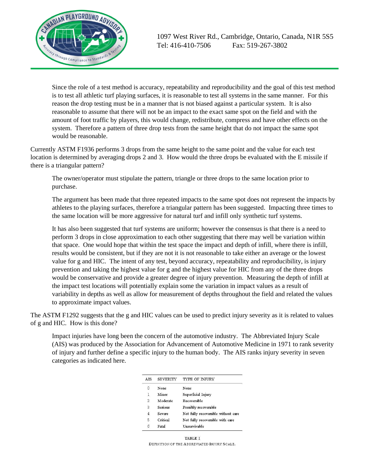

Since the role of a test method is accuracy, repeatability and reproducibility and the goal of this test method is to test all athletic turf playing surfaces, it is reasonable to test all systems in the same manner. For this reason the drop testing must be in a manner that is not biased against a particular system. It is also reasonable to assume that there will not be an impact to the exact same spot on the field and with the amount of foot traffic by players, this would change, redistribute, compress and have other effects on the system. Therefore a pattern of three drop tests from the same height that do not impact the same spot would be reasonable.

Currently ASTM F1936 performs 3 drops from the same height to the same point and the value for each test location is determined by averaging drops 2 and 3. How would the three drops be evaluated with the E missile if there is a triangular pattern?

The owner/operator must stipulate the pattern, triangle or three drops to the same location prior to purchase.

The argument has been made that three repeated impacts to the same spot does not represent the impacts by athletes to the playing surfaces, therefore a triangular pattern has been suggested. Impacting three times to the same location will be more aggressive for natural turf and infill only synthetic turf systems.

It has also been suggested that turf systems are uniform; however the consensus is that there is a need to perform 3 drops in close approximation to each other suggesting that there may well be variation within that space. One would hope that within the test space the impact and depth of infill, where there is infill, results would be consistent, but if they are not it is not reasonable to take either an average or the lowest value for g and HIC. The intent of any test, beyond accuracy, repeatability and reproducibility, is injury prevention and taking the highest value for g and the highest value for HIC from any of the three drops would be conservative and provide a greater degree of injury prevention. Measuring the depth of infill at the impact test locations will potentially explain some the variation in impact values as a result of variability in depths as well as allow for measurement of depths throughout the field and related the values to approximate impact values.

The ASTM F1292 suggests that the g and HIC values can be used to predict injury severity as it is related to values of g and HIC. How is this done?

Impact injuries have long been the concern of the automotive industry. The Abbreviated Injury Scale (AIS) was produced by the Association for Advancement of Automotive Medicine in 1971 to rank severity of injury and further define a specific injury to the human body. The AIS ranks injury severity in seven categories as indicated here.

| A <sub>IS</sub> | <b>SEVERITY</b>   | <b>TYPE OF INJURY</b>              |  |  |  |
|-----------------|-------------------|------------------------------------|--|--|--|
| 0               | None              | None                               |  |  |  |
| 1               | M <sub>inor</sub> | Superficial Injury                 |  |  |  |
| 2               | Moderate          | Recoverable                        |  |  |  |
| $\overline{3}$  | Serious           | Possibly recoverable               |  |  |  |
| $\overline{4}$  | Severe            | Not fully recoverable without care |  |  |  |
| 5               | Critical          | Not fully recoverable with care    |  |  |  |
| $\hat{6}$       | Fatal             | <b>Unsurvivable</b>                |  |  |  |

TABLE I DEFINITION OF THE ABBREVIATED INJURY SCALE.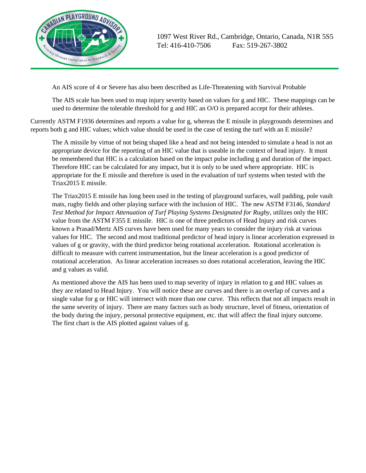

An AIS score of 4 or Severe has also been described as Life-Threatening with Survival Probable

The AIS scale has been used to map injury severity based on values for g and HIC. These mappings can be used to determine the tolerable threshold for g and HIC an O/O is prepared accept for their athletes.

Currently ASTM F1936 determines and reports a value for g, whereas the E missile in playgrounds determines and reports both g and HIC values; which value should be used in the case of testing the turf with an E missile?

The A missile by virtue of not being shaped like a head and not being intended to simulate a head is not an appropriate device for the reporting of an HIC value that is useable in the context of head injury. It must be remembered that HIC is a calculation based on the impact pulse including g and duration of the impact. Therefore HIC can be calculated for any impact, but it is only to be used where appropriate. HIC is appropriate for the E missile and therefore is used in the evaluation of turf systems when tested with the Triax2015 E missile.

The Triax2015 E missile has long been used in the testing of playground surfaces, wall padding, pole vault mats, rugby fields and other playing surface with the inclusion of HIC. The new ASTM F3146*, Standard Test Method for Impact Attenuation of Turf Playing Systems Designated for Rugby*, utilizes only the HIC value from the ASTM F355 E missile. HIC is one of three predictors of Head Injury and risk curves known a Prasad/Mertz AIS curves have been used for many years to consider the injury risk at various values for HIC. The second and most traditional predictor of head injury is linear acceleration expressed in values of g or gravity, with the third predictor being rotational acceleration. Rotational acceleration is difficult to measure with current instrumentation, but the linear acceleration is a good predictor of rotational acceleration. As linear acceleration increases so does rotational acceleration, leaving the HIC and g values as valid.

As mentioned above the AIS has been used to map severity of injury in relation to g and HIC values as they are related to Head Injury. You will notice these are curves and there is an overlap of curves and a single value for g or HIC will intersect with more than one curve. This reflects that not all impacts result in the same severity of injury. There are many factors such as body structure, level of fitness, orientation of the body during the injury, personal protective equipment, etc. that will affect the final injury outcome. The first chart is the AIS plotted against values of g.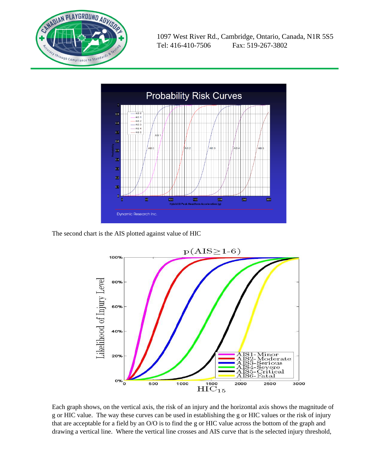



The second chart is the AIS plotted against value of HIC



Each graph shows, on the vertical axis, the risk of an injury and the horizontal axis shows the magnitude of g or HIC value. The way these curves can be used in establishing the g or HIC values or the risk of injury that are acceptable for a field by an O/O is to find the g or HIC value across the bottom of the graph and drawing a vertical line. Where the vertical line crosses and AIS curve that is the selected injury threshold,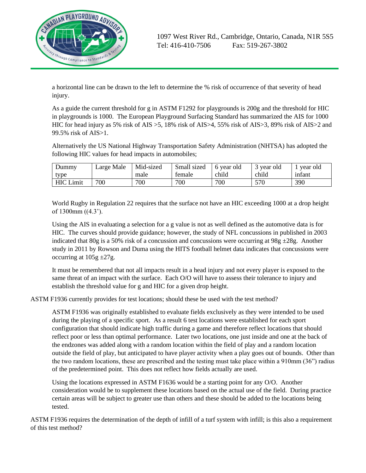

a horizontal line can be drawn to the left to determine the % risk of occurrence of that severity of head injury.

As a guide the current threshold for g in ASTM F1292 for playgrounds is 200g and the threshold for HIC in playgrounds is 1000. The European Playground Surfacing Standard has summarized the AIS for 1000 HIC for head injury as 5% risk of AIS >5, 18% risk of AIS>4, 55% risk of AIS>3, 89% risk of AIS>2 and 99.5% risk of AIS>1.

Alternatively the US National Highway Transportation Safety Administration (NHTSA) has adopted the following HIC values for head impacts in automobiles;

| Dummy            | Large Male | Mid-sized | Small sized | 6 year old | 3 year old | vear old |
|------------------|------------|-----------|-------------|------------|------------|----------|
| type             |            | male      | temale      | child      | child      | infant   |
| <b>HIC</b> Limit | 700        | 700       | 700         | 700        | 570        | 390      |

World Rugby in Regulation 22 requires that the surface not have an HIC exceeding 1000 at a drop height of 1300mm ((4.3').

Using the AIS in evaluating a selection for a g value is not as well defined as the automotive data is for HIC. The curves should provide guidance; however, the study of NFL concussions in published in 2003 indicated that 80g is a 50% risk of a concussion and concussions were occurring at 98g  $\pm 28g$ . Another study in 2011 by Rowson and Duma using the HITS football helmet data indicates that concussions were occurring at  $105g \pm 27g$ .

It must be remembered that not all impacts result in a head injury and not every player is exposed to the same threat of an impact with the surface. Each O/O will have to assess their tolerance to injury and establish the threshold value for g and HIC for a given drop height.

ASTM F1936 currently provides for test locations; should these be used with the test method?

ASTM F1936 was originally established to evaluate fields exclusively as they were intended to be used during the playing of a specific sport. As a result 6 test locations were established for each sport configuration that should indicate high traffic during a game and therefore reflect locations that should reflect poor or less than optimal performance. Later two locations, one just inside and one at the back of the endzones was added along with a random location within the field of play and a random location outside the field of play, but anticipated to have player activity when a play goes out of bounds. Other than the two random locations, these are prescribed and the testing must take place within a 910mm (36") radius of the predetermined point. This does not reflect how fields actually are used.

Using the locations expressed in ASTM F1636 would be a starting point for any O/O. Another consideration would be to supplement these locations based on the actual use of the field. During practice certain areas will be subject to greater use than others and these should be added to the locations being tested.

ASTM F1936 requires the determination of the depth of infill of a turf system with infill; is this also a requirement of this test method?